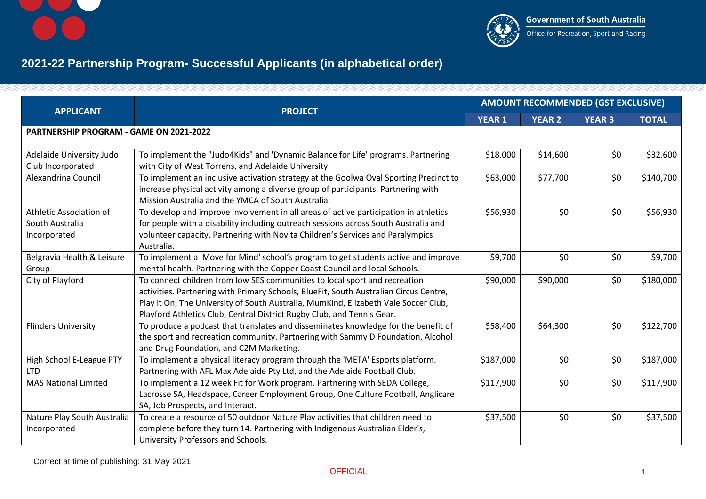



## **2021-22 Partnership Program- Successful Applicants (in alphabetical order)**

| <b>APPLICANT</b>                                           | <b>PROJECT</b>                                                                                                                                                                                                                                                                                                                       | <b>AMOUNT RECOMMENDED (GST EXCLUSIVE)</b> |               |               |              |  |
|------------------------------------------------------------|--------------------------------------------------------------------------------------------------------------------------------------------------------------------------------------------------------------------------------------------------------------------------------------------------------------------------------------|-------------------------------------------|---------------|---------------|--------------|--|
|                                                            |                                                                                                                                                                                                                                                                                                                                      | <b>YEAR 1</b>                             | <b>YEAR 2</b> | <b>YEAR 3</b> | <b>TOTAL</b> |  |
| <b>PARTNERSHIP PROGRAM - GAME ON 2021-2022</b>             |                                                                                                                                                                                                                                                                                                                                      |                                           |               |               |              |  |
| Adelaide University Judo<br>Club Incorporated              | To implement the "Judo4Kids" and 'Dynamic Balance for Life' programs. Partnering<br>with City of West Torrens, and Adelaide University.                                                                                                                                                                                              | \$18,000                                  | \$14,600      | \$0           | \$32,600     |  |
| Alexandrina Council                                        | To implement an inclusive activation strategy at the Goolwa Oval Sporting Precinct to<br>increase physical activity among a diverse group of participants. Partnering with<br>Mission Australia and the YMCA of South Australia.                                                                                                     | \$63,000                                  | \$77,700      | \$0           | \$140,700    |  |
| Athletic Association of<br>South Australia<br>Incorporated | To develop and improve involvement in all areas of active participation in athletics<br>for people with a disability including outreach sessions across South Australia and<br>volunteer capacity. Partnering with Novita Children's Services and Paralympics<br>Australia.                                                          | \$56,930                                  | \$0           | \$0           | \$56,930     |  |
| Belgravia Health & Leisure<br>Group                        | To implement a 'Move for Mind' school's program to get students active and improve<br>mental health. Partnering with the Copper Coast Council and local Schools.                                                                                                                                                                     | \$9,700                                   | \$0           | \$0           | \$9,700      |  |
| City of Playford                                           | To connect children from low SES communities to local sport and recreation<br>activities. Partnering with Primary Schools, BlueFit, South Australian Circus Centre,<br>Play it On, The University of South Australia, MumKind, Elizabeth Vale Soccer Club,<br>Playford Athletics Club, Central District Rugby Club, and Tennis Gear. | \$90,000                                  | \$90,000      | \$0           | \$180,000    |  |
| <b>Flinders University</b>                                 | To produce a podcast that translates and disseminates knowledge for the benefit of<br>the sport and recreation community. Partnering with Sammy D Foundation, Alcohol<br>and Drug Foundation, and C2M Marketing.                                                                                                                     | \$58,400                                  | \$64,300      | \$0           | \$122,700    |  |
| High School E-League PTY<br><b>LTD</b>                     | To implement a physical literacy program through the 'META' Esports platform.<br>Partnering with AFL Max Adelaide Pty Ltd, and the Adelaide Football Club.                                                                                                                                                                           | \$187,000                                 | \$0           | \$0           | \$187,000    |  |
| <b>MAS National Limited</b>                                | To implement a 12 week Fit for Work program. Partnering with SEDA College,<br>Lacrosse SA, Headspace, Career Employment Group, One Culture Football, Anglicare<br>SA, Job Prospects, and Interact.                                                                                                                                   | \$117,900                                 | \$0           | \$0           | \$117,900    |  |
| Nature Play South Australia<br>Incorporated                | To create a resource of 50 outdoor Nature Play activities that children need to<br>complete before they turn 14. Partnering with Indigenous Australian Elder's,<br>University Professors and Schools.                                                                                                                                | \$37,500                                  | \$0           | \$0           | \$37,500     |  |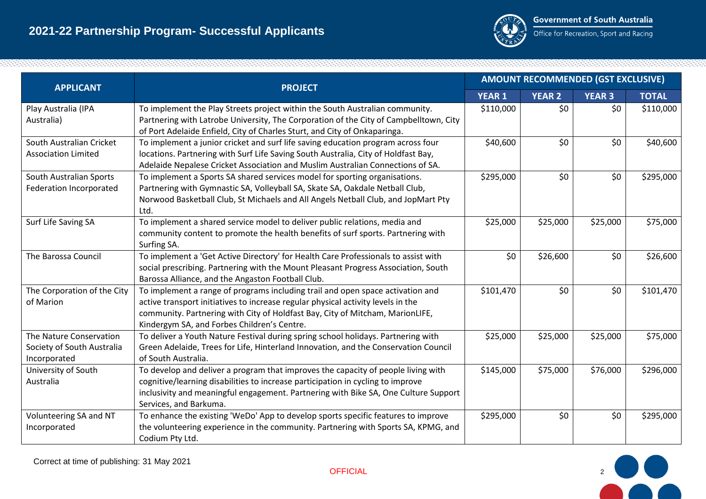

| <b>APPLICANT</b>                                                      | <b>PROJECT</b>                                                                                                                                                                                                                                                                                     | <b>AMOUNT RECOMMENDED (GST EXCLUSIVE)</b> |               |               |              |
|-----------------------------------------------------------------------|----------------------------------------------------------------------------------------------------------------------------------------------------------------------------------------------------------------------------------------------------------------------------------------------------|-------------------------------------------|---------------|---------------|--------------|
|                                                                       |                                                                                                                                                                                                                                                                                                    | <b>YEAR 1</b>                             | <b>YEAR 2</b> | <b>YEAR 3</b> | <b>TOTAL</b> |
| Play Australia (IPA<br>Australia)                                     | To implement the Play Streets project within the South Australian community.<br>Partnering with Latrobe University, The Corporation of the City of Campbelltown, City<br>of Port Adelaide Enfield, City of Charles Sturt, and City of Onkaparinga.                                                 | \$110,000                                 | \$0           | \$0\$         | \$110,000    |
| South Australian Cricket<br><b>Association Limited</b>                | To implement a junior cricket and surf life saving education program across four<br>locations. Partnering with Surf Life Saving South Australia, City of Holdfast Bay,<br>Adelaide Nepalese Cricket Association and Muslim Australian Connections of SA.                                           | \$40,600                                  | \$0           | \$0\$         | \$40,600     |
| South Australian Sports<br>Federation Incorporated                    | To implement a Sports SA shared services model for sporting organisations.<br>Partnering with Gymnastic SA, Volleyball SA, Skate SA, Oakdale Netball Club,<br>Norwood Basketball Club, St Michaels and All Angels Netball Club, and JopMart Pty<br>Ltd.                                            | \$295,000                                 | \$0           | \$0\$         | \$295,000    |
| Surf Life Saving SA                                                   | To implement a shared service model to deliver public relations, media and<br>community content to promote the health benefits of surf sports. Partnering with<br>Surfing SA.                                                                                                                      | \$25,000                                  | \$25,000      | \$25,000      | \$75,000     |
| The Barossa Council                                                   | To implement a 'Get Active Directory' for Health Care Professionals to assist with<br>social prescribing. Partnering with the Mount Pleasant Progress Association, South<br>Barossa Alliance, and the Angaston Football Club.                                                                      | \$0                                       | \$26,600      | \$0\$         | \$26,600     |
| The Corporation of the City<br>of Marion                              | To implement a range of programs including trail and open space activation and<br>active transport initiatives to increase regular physical activity levels in the<br>community. Partnering with City of Holdfast Bay, City of Mitcham, MarionLIFE,<br>Kindergym SA, and Forbes Children's Centre. | \$101,470                                 | \$0           | \$0\$         | \$101,470    |
| The Nature Conservation<br>Society of South Australia<br>Incorporated | To deliver a Youth Nature Festival during spring school holidays. Partnering with<br>Green Adelaide, Trees for Life, Hinterland Innovation, and the Conservation Council<br>of South Australia.                                                                                                    | \$25,000                                  | \$25,000      | \$25,000      | \$75,000     |
| University of South<br>Australia                                      | To develop and deliver a program that improves the capacity of people living with<br>cognitive/learning disabilities to increase participation in cycling to improve<br>inclusivity and meaningful engagement. Partnering with Bike SA, One Culture Support<br>Services, and Barkuma.              | \$145,000                                 | \$75,000      | \$76,000      | \$296,000    |
| Volunteering SA and NT<br>Incorporated                                | To enhance the existing 'WeDo' App to develop sports specific features to improve<br>the volunteering experience in the community. Partnering with Sports SA, KPMG, and<br>Codium Pty Ltd.                                                                                                         | \$295,000                                 | \$0           | \$0           | \$295,000    |